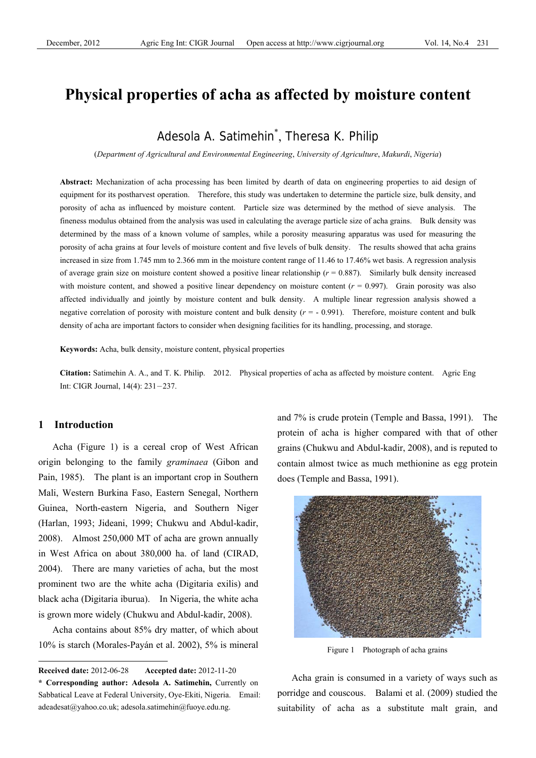# **Physical properties of acha as affected by moisture content**

# Adesola A. Satimehin\* , Theresa K. Philip

(*Department of Agricultural and Environmental Engineering*, *University of Agriculture*, *Makurdi*, *Nigeria*)

**Abstract:** Mechanization of acha processing has been limited by dearth of data on engineering properties to aid design of equipment for its postharvest operation. Therefore, this study was undertaken to determine the particle size, bulk density, and porosity of acha as influenced by moisture content. Particle size was determined by the method of sieve analysis. The fineness modulus obtained from the analysis was used in calculating the average particle size of acha grains. Bulk density was determined by the mass of a known volume of samples, while a porosity measuring apparatus was used for measuring the porosity of acha grains at four levels of moisture content and five levels of bulk density. The results showed that acha grains increased in size from 1.745 mm to 2.366 mm in the moisture content range of 11.46 to 17.46% wet basis. A regression analysis of average grain size on moisture content showed a positive linear relationship (*r* = 0.887). Similarly bulk density increased with moisture content, and showed a positive linear dependency on moisture content  $(r = 0.997)$ . Grain porosity was also affected individually and jointly by moisture content and bulk density. A multiple linear regression analysis showed a negative correlation of porosity with moisture content and bulk density  $(r = -0.991)$ . Therefore, moisture content and bulk density of acha are important factors to consider when designing facilities for its handling, processing, and storage.

**Keywords:** Acha, bulk density, moisture content, physical properties

**Citation:** Satimehin A. A., and T. K. Philip. 2012. Physical properties of acha as affected by moisture content. Agric Eng Int: CIGR Journal, 14(4): 231-237.

# **1 Introduction**

 $\overline{a}$ 

Acha (Figure 1) is a cereal crop of West African origin belonging to the family *graminaea* (Gibon and Pain, 1985). The plant is an important crop in Southern Mali, Western Burkina Faso, Eastern Senegal, Northern Guinea, North-eastern Nigeria, and Southern Niger (Harlan, 1993; Jideani, 1999; Chukwu and Abdul-kadir, 2008). Almost 250,000 MT of acha are grown annually in West Africa on about 380,000 ha. of land (CIRAD, 2004). There are many varieties of acha, but the most prominent two are the white acha (Digitaria exilis) and black acha (Digitaria iburua). In Nigeria, the white acha is grown more widely (Chukwu and Abdul-kadir, 2008).

Acha contains about 85% dry matter, of which about 10% is starch (Morales-Payán et al. 2002), 5% is mineral and 7% is crude protein (Temple and Bassa, 1991). The protein of acha is higher compared with that of other grains (Chukwu and Abdul-kadir, 2008), and is reputed to contain almost twice as much methionine as egg protein does (Temple and Bassa, 1991).



Figure 1 Photograph of acha grains

Acha grain is consumed in a variety of ways such as porridge and couscous. Balami et al. (2009) studied the suitability of acha as a substitute malt grain, and

**Received date:** 2012-06-28 **Accepted date:** 2012-11-20

**<sup>\*</sup> Corresponding author: Adesola A. Satimehin,** Currently on Sabbatical Leave at Federal University, Oye-Ekiti, Nigeria. Email: adeadesat@yahoo.co.uk; adesola.satimehin@fuoye.edu.ng.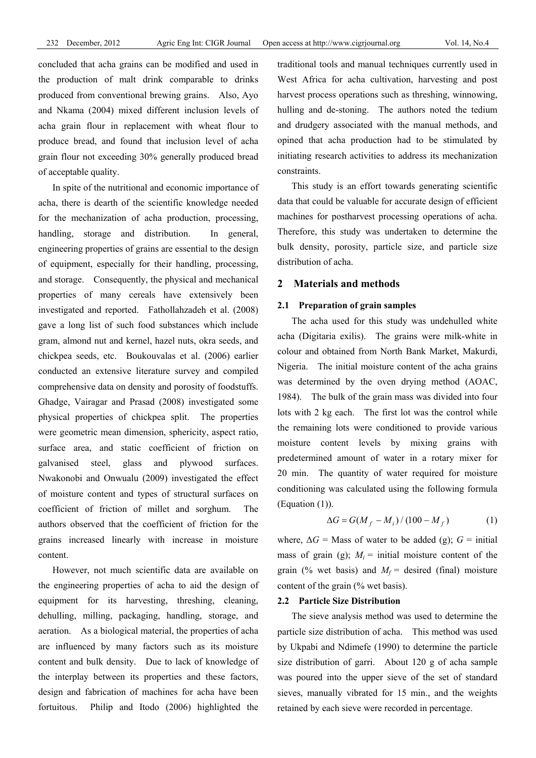concluded that acha grains can be modified and used in the production of malt drink comparable to drinks produced from conventional brewing grains. Also, Ayo and Nkama (2004) mixed different inclusion levels of acha grain flour in replacement with wheat flour to produce bread, and found that inclusion level of acha grain flour not exceeding 30% generally produced bread of acceptable quality.

In spite of the nutritional and economic importance of acha, there is dearth of the scientific knowledge needed for the mechanization of acha production, processing, handling, storage and distribution. In general, engineering properties of grains are essential to the design of equipment, especially for their handling, processing, and storage. Consequently, the physical and mechanical properties of many cereals have extensively been investigated and reported. Fathollahzadeh et al. (2008) gave a long list of such food substances which include gram, almond nut and kernel, hazel nuts, okra seeds, and chickpea seeds, etc. Boukouvalas et al. (2006) earlier conducted an extensive literature survey and compiled comprehensive data on density and porosity of foodstuffs. Ghadge, Vairagar and Prasad (2008) investigated some physical properties of chickpea split. The properties were geometric mean dimension, sphericity, aspect ratio, surface area, and static coefficient of friction on galvanised steel, glass and plywood surfaces. Nwakonobi and Onwualu (2009) investigated the effect of moisture content and types of structural surfaces on coefficient of friction of millet and sorghum. The authors observed that the coefficient of friction for the grains increased linearly with increase in moisture content.

However, not much scientific data are available on the engineering properties of acha to aid the design of equipment for its harvesting, threshing, cleaning, dehulling, milling, packaging, handling, storage, and aeration. As a biological material, the properties of acha are influenced by many factors such as its moisture content and bulk density. Due to lack of knowledge of the interplay between its properties and these factors, design and fabrication of machines for acha have been fortuitous. Philip and Itodo (2006) highlighted the

traditional tools and manual techniques currently used in West Africa for acha cultivation, harvesting and post harvest process operations such as threshing, winnowing, hulling and de-stoning. The authors noted the tedium and drudgery associated with the manual methods, and opined that acha production had to be stimulated by initiating research activities to address its mechanization constraints.

This study is an effort towards generating scientific data that could be valuable for accurate design of efficient machines for postharvest processing operations of acha. Therefore, this study was undertaken to determine the bulk density, porosity, particle size, and particle size distribution of acha.

# **2 Materials and methods**

#### **2.1 Preparation of grain samples**

The acha used for this study was undehulled white acha (Digitaria exilis). The grains were milk-white in colour and obtained from North Bank Market, Makurdi, Nigeria. The initial moisture content of the acha grains was determined by the oven drying method (AOAC, 1984). The bulk of the grain mass was divided into four lots with 2 kg each. The first lot was the control while the remaining lots were conditioned to provide various moisture content levels by mixing grains with predetermined amount of water in a rotary mixer for 20 min. The quantity of water required for moisture conditioning was calculated using the following formula (Equation (1)).

$$
\Delta G = G(M_f - M_i) / (100 - M_f)
$$
 (1)

where,  $\Delta G$  = Mass of water to be added (g);  $G$  = initial mass of grain (g);  $M_i$  = initial moisture content of the grain (% wet basis) and  $M_f$  = desired (final) moisture content of the grain (% wet basis).

#### **2.2 Particle Size Distribution**

The sieve analysis method was used to determine the particle size distribution of acha. This method was used by Ukpabi and Ndimefe (1990) to determine the particle size distribution of garri. About 120 g of acha sample was poured into the upper sieve of the set of standard sieves, manually vibrated for 15 min., and the weights retained by each sieve were recorded in percentage.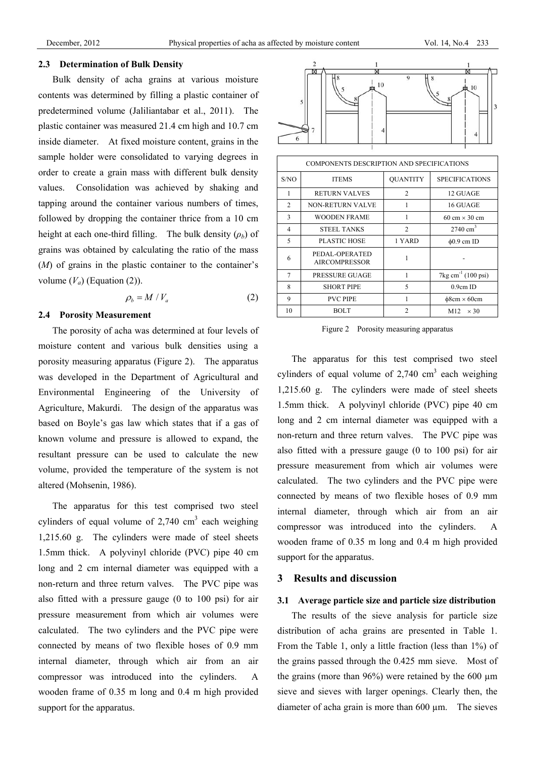#### **2.3 Determination of Bulk Density**

Bulk density of acha grains at various moisture contents was determined by filling a plastic container of predetermined volume (Jaliliantabar et al., 2011). The plastic container was measured 21.4 cm high and 10.7 cm inside diameter. At fixed moisture content, grains in the sample holder were consolidated to varying degrees in order to create a grain mass with different bulk density values. Consolidation was achieved by shaking and tapping around the container various numbers of times, followed by dropping the container thrice from a 10 cm height at each one-third filling. The bulk density  $(\rho_b)$  of grains was obtained by calculating the ratio of the mass (*M*) of grains in the plastic container to the container's volume  $(V_a)$  (Equation (2)).

$$
\rho_b = M / V_a \tag{2}
$$

# **2.4 Porosity Measurement**

The porosity of acha was determined at four levels of moisture content and various bulk densities using a porosity measuring apparatus (Figure 2). The apparatus was developed in the Department of Agricultural and Environmental Engineering of the University of Agriculture, Makurdi. The design of the apparatus was based on Boyle's gas law which states that if a gas of known volume and pressure is allowed to expand, the resultant pressure can be used to calculate the new volume, provided the temperature of the system is not altered (Mohsenin, 1986).

The apparatus for this test comprised two steel cylinders of equal volume of  $2,740$  cm<sup>3</sup> each weighing 1,215.60 g. The cylinders were made of steel sheets 1.5mm thick. A polyvinyl chloride (PVC) pipe 40 cm long and 2 cm internal diameter was equipped with a non-return and three return valves. The PVC pipe was also fitted with a pressure gauge (0 to 100 psi) for air pressure measurement from which air volumes were calculated. The two cylinders and the PVC pipe were connected by means of two flexible hoses of 0.9 mm internal diameter, through which air from an air compressor was introduced into the cylinders. A wooden frame of 0.35 m long and 0.4 m high provided support for the apparatus.



| COMPONENTS DESCRIPTION AND SPECIFICATIONS |                                        |                 |                                      |  |  |
|-------------------------------------------|----------------------------------------|-----------------|--------------------------------------|--|--|
| S/NO                                      | <b>ITEMS</b>                           | <b>OUANTITY</b> | <b>SPECIFICATIONS</b>                |  |  |
|                                           | <b>RETURN VALVES</b>                   | $\mathfrak{D}$  | 12 GUAGE                             |  |  |
| $\mathfrak{D}$                            | <b>NON-RETURN VALVE</b>                |                 | 16 GUAGE                             |  |  |
| 3                                         | <b>WOODEN FRAME</b>                    | 1               | $60 \text{ cm} \times 30 \text{ cm}$ |  |  |
| 4                                         | <b>STEEL TANKS</b>                     | $\overline{2}$  | $2740 \text{ cm}^3$                  |  |  |
| $\varsigma$                               | PLASTIC HOSE                           | 1 YARD          | $\phi$ 0.9 cm ID                     |  |  |
| 6                                         | PEDAL-OPERATED<br><b>AIRCOMPRESSOR</b> |                 |                                      |  |  |
| 7                                         | <b>PRESSURE GUAGE</b>                  | 1               | $7 \text{kg cm}^{-1}$ (100 psi)      |  |  |
| 8                                         | <b>SHORT PIPE</b>                      | 5               | $0.9cm$ ID                           |  |  |
| 9                                         | <b>PVC PIPE</b>                        |                 | $\phi$ 8cm × 60cm                    |  |  |
| 10                                        | BOLT                                   | $\mathfrak{D}$  | M12<br>$\times$ 30                   |  |  |

Figure 2 Porosity measuring apparatus

The apparatus for this test comprised two steel cylinders of equal volume of  $2,740$  cm<sup>3</sup> each weighing 1,215.60 g. The cylinders were made of steel sheets 1.5mm thick. A polyvinyl chloride (PVC) pipe 40 cm long and 2 cm internal diameter was equipped with a non-return and three return valves. The PVC pipe was also fitted with a pressure gauge (0 to 100 psi) for air pressure measurement from which air volumes were calculated. The two cylinders and the PVC pipe were connected by means of two flexible hoses of 0.9 mm internal diameter, through which air from an air compressor was introduced into the cylinders. A wooden frame of 0.35 m long and 0.4 m high provided support for the apparatus.

### **3 Results and discussion**

#### **3.1 Average particle size and particle size distribution**

The results of the sieve analysis for particle size distribution of acha grains are presented in Table 1. From the Table 1, only a little fraction (less than 1%) of the grains passed through the 0.425 mm sieve. Most of the grains (more than  $96\%$ ) were retained by the 600  $\mu$ m sieve and sieves with larger openings. Clearly then, the diameter of acha grain is more than 600 µm. The sieves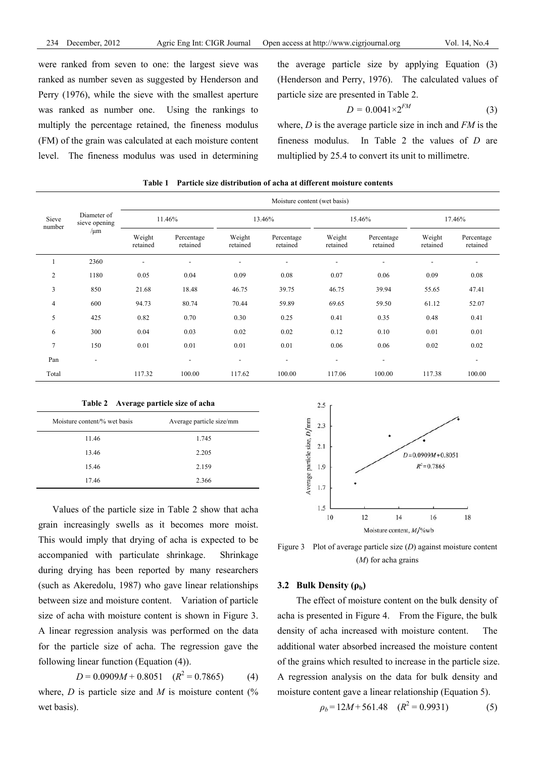were ranked from seven to one: the largest sieve was ranked as number seven as suggested by Henderson and Perry (1976), while the sieve with the smallest aperture was ranked as number one. Using the rankings to multiply the percentage retained, the fineness modulus (FM) of the grain was calculated at each moisture content level. The fineness modulus was used in determining the average particle size by applying Equation (3) (Henderson and Perry, 1976). The calculated values of particle size are presented in Table 2.

$$
D = 0.0041 \times 2^{FM} \tag{3}
$$

where, *D* is the average particle size in inch and *FM* is the fineness modulus. In Table 2 the values of *D* are multiplied by 25.4 to convert its unit to millimetre.

|                 | Diameter of<br>sieve opening<br>$/\mu m$ | Moisture content (wet basis) |                          |                          |                          |                          |                          |                          |                          |
|-----------------|------------------------------------------|------------------------------|--------------------------|--------------------------|--------------------------|--------------------------|--------------------------|--------------------------|--------------------------|
| Sieve<br>number |                                          | 11.46%                       |                          | 13.46%                   |                          | 15.46%                   |                          | 17.46%                   |                          |
|                 |                                          | Weight<br>retained           | Percentage<br>retained   | Weight<br>retained       | Percentage<br>retained   | Weight<br>retained       | Percentage<br>retained   | Weight<br>retained       | Percentage<br>retained   |
|                 | 2360                                     | $\overline{a}$               | $\overline{\phantom{0}}$ | $\overline{\phantom{0}}$ | $\overline{\phantom{a}}$ | $\overline{\phantom{a}}$ | $\overline{\phantom{a}}$ | $\overline{\phantom{0}}$ | $\overline{\phantom{a}}$ |
| 2               | 1180                                     | 0.05                         | 0.04                     | 0.09                     | 0.08                     | 0.07                     | 0.06                     | 0.09                     | 0.08                     |
| 3               | 850                                      | 21.68                        | 18.48                    | 46.75                    | 39.75                    | 46.75                    | 39.94                    | 55.65                    | 47.41                    |
| $\overline{4}$  | 600                                      | 94.73                        | 80.74                    | 70.44                    | 59.89                    | 69.65                    | 59.50                    | 61.12                    | 52.07                    |
| 5               | 425                                      | 0.82                         | 0.70                     | 0.30                     | 0.25                     | 0.41                     | 0.35                     | 0.48                     | 0.41                     |
| 6               | 300                                      | 0.04                         | 0.03                     | 0.02                     | 0.02                     | 0.12                     | 0.10                     | 0.01                     | 0.01                     |
| $\tau$          | 150                                      | 0.01                         | 0.01                     | 0.01                     | 0.01                     | 0.06                     | 0.06                     | 0.02                     | 0.02                     |
| Pan             | $\overline{\phantom{a}}$                 |                              | $\overline{\phantom{a}}$ | $\overline{\phantom{0}}$ | $\overline{\phantom{a}}$ | $\overline{\phantom{a}}$ | $\overline{\phantom{a}}$ |                          | $\overline{\phantom{a}}$ |
| Total           |                                          | 117.32                       | 100.00                   | 117.62                   | 100.00                   | 117.06                   | 100.00                   | 117.38                   | 100.00                   |

**Table 1 Particle size distribution of acha at different moisture contents** 

**Table 2 Average particle size of acha** 

| Moisture content/% wet basis | Average particle size/mm |
|------------------------------|--------------------------|
| 11.46                        | 1.745                    |
| 13.46                        | 2.205                    |
| 15.46                        | 2.159                    |
| 17.46                        | 2.366                    |

Values of the particle size in Table 2 show that acha grain increasingly swells as it becomes more moist. This would imply that drying of acha is expected to be accompanied with particulate shrinkage. Shrinkage during drying has been reported by many researchers (such as Akeredolu, 1987) who gave linear relationships between size and moisture content. Variation of particle size of acha with moisture content is shown in Figure 3. A linear regression analysis was performed on the data for the particle size of acha. The regression gave the following linear function (Equation (4)).

 $D = 0.0909M + 0.8051$  ( $R^2 = 0.7865$ ) (4) where,  $D$  is particle size and  $M$  is moisture content  $\frac{1}{6}$ wet basis).



Figure 3 Plot of average particle size (*D*) against moisture content (*M*) for acha grains

# **3.2 Bulk Density (ρb)**

 The effect of moisture content on the bulk density of acha is presented in Figure 4. From the Figure, the bulk density of acha increased with moisture content. The additional water absorbed increased the moisture content of the grains which resulted to increase in the particle size. A regression analysis on the data for bulk density and moisture content gave a linear relationship (Equation 5).

$$
\rho_b = 12M + 561.48 \quad (R^2 = 0.9931) \tag{5}
$$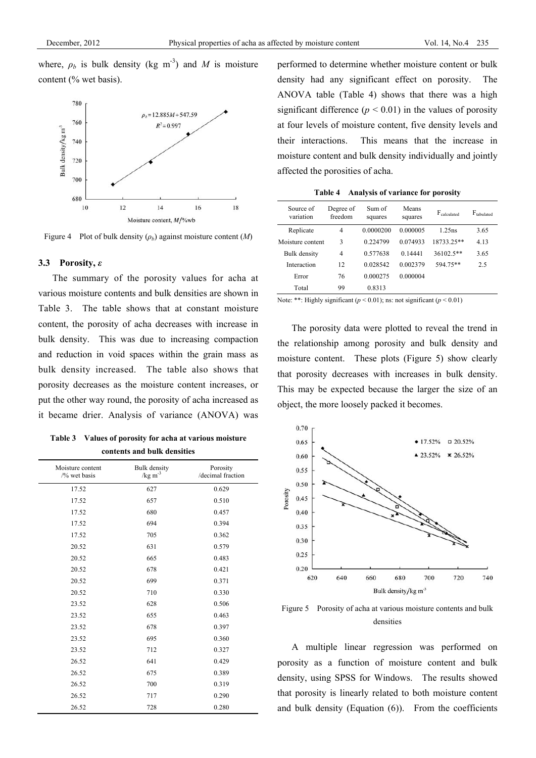where,  $\rho_b$  is bulk density (kg m<sup>-3</sup>) and *M* is moisture content (% wet basis).



Figure 4 Plot of bulk density (*ρb*) against moisture content (*M*)

#### **3.3 Porosity,** *ε*

The summary of the porosity values for acha at various moisture contents and bulk densities are shown in Table 3. The table shows that at constant moisture content, the porosity of acha decreases with increase in bulk density. This was due to increasing compaction and reduction in void spaces within the grain mass as bulk density increased. The table also shows that porosity decreases as the moisture content increases, or put the other way round, the porosity of acha increased as it became drier. Analysis of variance (ANOVA) was

| Table 3 Values of porosity for acha at various moisture |
|---------------------------------------------------------|
| contents and bulk densities                             |

| Moisture content<br>$\frac{1}{2}$ wet basis | Bulk density<br>$/kg m-3$ | Porosity<br>/decimal fraction |
|---------------------------------------------|---------------------------|-------------------------------|
| 17.52                                       | 627                       | 0.629                         |
| 17.52                                       | 657                       | 0.510                         |
| 17.52                                       | 680                       | 0.457                         |
| 17.52                                       | 694                       | 0.394                         |
| 17.52                                       | 705                       | 0.362                         |
| 20.52                                       | 631                       | 0.579                         |
| 20.52                                       | 665                       | 0.483                         |
| 20.52                                       | 678                       | 0.421                         |
| 20.52                                       | 699                       | 0.371                         |
| 20.52                                       | 710                       | 0.330                         |
| 23.52                                       | 628                       | 0.506                         |
| 23.52                                       | 655                       | 0.463                         |
| 23.52                                       | 678                       | 0.397                         |
| 23.52                                       | 695                       | 0.360                         |
| 23.52                                       | 712                       | 0.327                         |
| 26.52                                       | 641                       | 0.429                         |
| 26.52                                       | 675                       | 0.389                         |
| 26.52                                       | 700                       | 0.319                         |
| 26.52                                       | 717                       | 0.290                         |
| 26.52                                       | 728                       | 0.280                         |

performed to determine whether moisture content or bulk density had any significant effect on porosity. The ANOVA table (Table 4) shows that there was a high significant difference  $(p < 0.01)$  in the values of porosity at four levels of moisture content, five density levels and their interactions. This means that the increase in moisture content and bulk density individually and jointly affected the porosities of acha.

**Table 4 Analysis of variance for porosity** 

| Source of<br>variation | Degree of<br>freedom | Sum of<br>squares | Means<br>squares | $F_{calculated}$ | $F_{\text{tabulated}}$ |
|------------------------|----------------------|-------------------|------------------|------------------|------------------------|
| Replicate              | 4                    | 0.0000200         | 0.000005         | $1.25$ ns        | 3.65                   |
| Moisture content       | 3                    | 0.224799          | 0.074933         | 18733.25**       | 4.13                   |
| Bulk density           | 4                    | 0.577638          | 0 14441          | $36102.5**$      | 3.65                   |
| Interaction            | 12                   | 0.028542          | 0.002379         | 594.75**         | 2.5                    |
| Error                  | 76                   | 0.000275          | 0.000004         |                  |                        |
| Total                  | 99                   | 0.8313            |                  |                  |                        |

Note: \*\*: Highly significant  $(p < 0.01)$ ; ns: not significant  $(p < 0.01)$ 

The porosity data were plotted to reveal the trend in the relationship among porosity and bulk density and moisture content. These plots (Figure 5) show clearly that porosity decreases with increases in bulk density. This may be expected because the larger the size of an object, the more loosely packed it becomes.



Figure 5 Porosity of acha at various moisture contents and bulk densities

A multiple linear regression was performed on porosity as a function of moisture content and bulk density, using SPSS for Windows. The results showed that porosity is linearly related to both moisture content and bulk density (Equation (6)). From the coefficients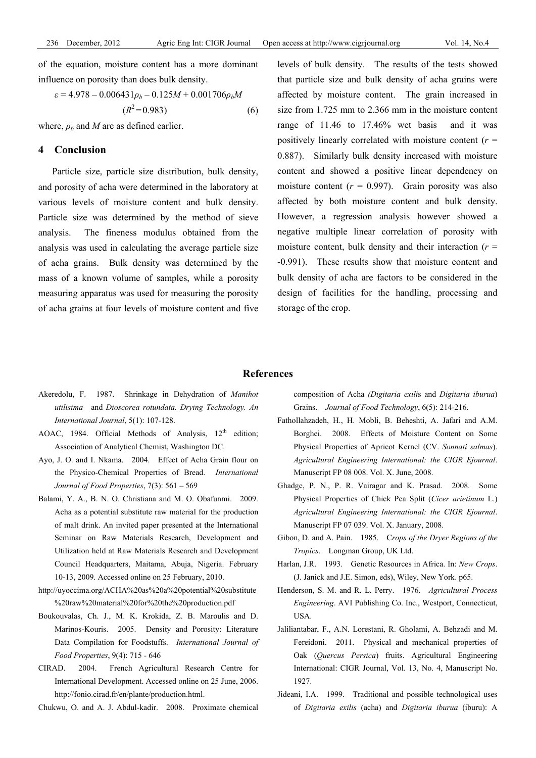of the equation, moisture content has a more dominant influence on porosity than does bulk density.

$$
\varepsilon = 4.978 - 0.006431\rho_b - 0.125M + 0.001706\rho_b M
$$
  
( $R^2 = 0.983$ ) (6)

where,  $\rho_b$  and *M* are as defined earlier.

# **4 Conclusion**

Particle size, particle size distribution, bulk density, and porosity of acha were determined in the laboratory at various levels of moisture content and bulk density. Particle size was determined by the method of sieve analysis. The fineness modulus obtained from the analysis was used in calculating the average particle size of acha grains. Bulk density was determined by the mass of a known volume of samples, while a porosity measuring apparatus was used for measuring the porosity of acha grains at four levels of moisture content and five levels of bulk density. The results of the tests showed that particle size and bulk density of acha grains were affected by moisture content. The grain increased in size from 1.725 mm to 2.366 mm in the moisture content range of 11.46 to 17.46% wet basis and it was positively linearly correlated with moisture content (*r* = 0.887). Similarly bulk density increased with moisture content and showed a positive linear dependency on moisture content  $(r = 0.997)$ . Grain porosity was also affected by both moisture content and bulk density. However, a regression analysis however showed a negative multiple linear correlation of porosity with moisture content, bulk density and their interaction  $(r =$ -0.991). These results show that moisture content and bulk density of acha are factors to be considered in the design of facilities for the handling, processing and storage of the crop.

#### **References**

- Akeredolu, F. 1987. Shrinkage in Dehydration of *Manihot utilisima* and *Dioscorea rotundata. Drying Technology. An International Journal*, 5(1): 107-128.
- AOAC, 1984. Official Methods of Analysis,  $12<sup>th</sup>$  edition; Association of Analytical Chemist, Washington DC.
- Ayo, J. O. and I. Nkama. 2004. Effect of Acha Grain flour on the Physico-Chemical Properties of Bread. *International Journal of Food Properties*, 7(3): 561 – 569
- Balami, Y. A., B. N. O. Christiana and M. O. Obafunmi. 2009. Acha as a potential substitute raw material for the production of malt drink. An invited paper presented at the International Seminar on Raw Materials Research, Development and Utilization held at Raw Materials Research and Development Council Headquarters, Maitama, Abuja, Nigeria. February 10-13, 2009. Accessed online on 25 February, 2010.
- http://uyoccima.org/ACHA%20as%20a%20potential%20substitute %20raw%20material%20for%20the%20production.pdf
- Boukouvalas, Ch. J., M. K. Krokida, Z. B. Maroulis and D. Marinos-Kouris. 2005. Density and Porosity: Literature Data Compilation for Foodstuffs. *International Journal of Food Properties*, 9(4): 715 - 646
- CIRAD. 2004. French Agricultural Research Centre for International Development. Accessed online on 25 June, 2006. http://fonio.cirad.fr/en/plante/production.html.

Chukwu, O. and A. J. Abdul-kadir. 2008. Proximate chemical

composition of Acha *(Digitaria exili*s and *Digitaria iburua*) Grains. *Journal of Food Technology*, 6(5): 214-216.

- Fathollahzadeh, H., H. Mobli, B. Beheshti, A. Jafari and A.M. Borghei. 2008. Effects of Moisture Content on Some Physical Properties of Apricot Kernel (CV. *Sonnati salmas*). *Agricultural Engineering International: the CIGR Ejournal*. Manuscript FP 08 008. Vol. X. June, 2008.
- Ghadge, P. N., P. R. Vairagar and K. Prasad. 2008. Some Physical Properties of Chick Pea Split (*Cicer arietinum* L.) *Agricultural Engineering International: the CIGR Ejournal*. Manuscript FP 07 039. Vol. X. January, 2008.
- Gibon, D. and A. Pain. 1985. C*rops of the Dryer Regions of the Tropics*. Longman Group, UK Ltd.
- Harlan, J.R. 1993. Genetic Resources in Africa. In: *New Crops*. (J. Janick and J.E. Simon, eds), Wiley, New York. p65.
- Henderson, S. M. and R. L. Perry. 1976. *Agricultural Process Engineering*. AVI Publishing Co. Inc., Westport, Connecticut, USA.
- Jaliliantabar, F., A.N. Lorestani, R. Gholami, A. Behzadi and M. Fereidoni. 2011. Physical and mechanical properties of Oak (*Quercus Persica*) fruits. Agricultural Engineering International: CIGR Journal, Vol. 13, No. 4, Manuscript No. 1927.
- Jideani, I.A. 1999. Traditional and possible technological uses of *Digitaria exilis* (acha) and *Digitaria iburua* (iburu): A